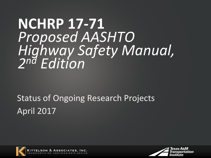# **NCHRP 17-71** *Proposed AASHTO Highway Safety Manual, 2 nd Edition*

## Status of Ongoing Research Projects April 2017





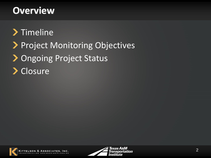#### **Overview**

## > Timeline Project Monitoring Objectives > Ongoing Project Status > Closure



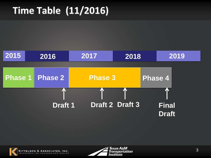## **Time Table (11/2016)**





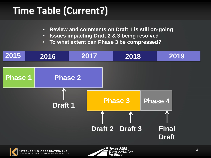## **Time Table (Current?)**

ITTELSON & ASSOCIATES



- **Issues impacting Draft 2 & 3 being resolved**
- **To what extent can Phase 3 be compressed?**



ransportation

nstitute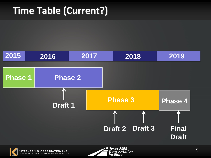## **Time Table (Current?)**

KITTELSON & ASSOCIATES, INC.



Transportation

*Institute*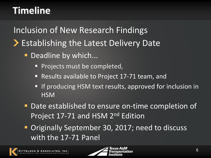#### **Timeline**

Inclusion of New Research Findings **Establishing the Latest Delivery Date** 

- Deadline by which...
	- **Projects must be completed,**
	- Results available to Project 17-71 team, and
	- **If producing HSM text results, approved for inclusion in HSM**
- Date established to ensure on-time completion of Project 17-71 and HSM 2<sup>nd</sup> Edition
- **Originally September 30, 2017; need to discuss** with the 17-71 Panel

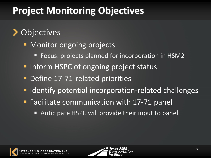## **Project Monitoring Objectives**

#### **Objectives**

- **Nonitor ongoing projects** 
	- **Focus: projects planned for incorporation in HSM2**
- **Inform HSPC of ongoing project status**
- Define 17-71-related priorities
- **IDENTIFY FETTER INCOLLET IS EXAMPLE IN THE INCORPORATION FIGUREY FIGUREY FIGUREY FIGUREY FIGUREY FIGUREY**
- Facilitate communication with 17-71 panel
	- Anticipate HSPC will provide their input to panel



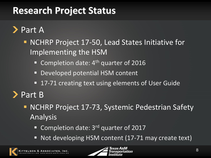Part A

- **NCHRP Project 17-50, Lead States Initiative for** Implementing the HSM
	- Completion date:  $4<sup>th</sup>$  quarter of 2016
	- **Developed potential HSM content**
	- 17-71 creating text using elements of User Guide

Part B

- **NCHRP Project 17-73, Systemic Pedestrian Safety** Analysis
	- Completion date: 3<sup>rd</sup> quarter of 2017
	- Not developing HSM content (17-71 may create text)

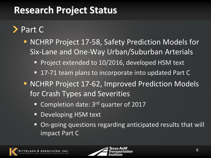Part C

- **NCHRP Project 17-58, Safety Prediction Models for** Six-Lane and One-Way Urban/Suburban Arterials
	- **Project extended to 10/2016, developed HSM text**
	- 17-71 team plans to incorporate into updated Part C
- **NCHRP Project 17-62, Improved Prediction Models** for Crash Types and Severities
	- Completion date:  $3<sup>rd</sup>$  quarter of 2017
	- Developing HSM text
	- On-going questions regarding anticipated results that will impact Part C



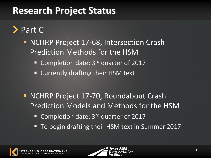> Part C

- **NCHRP Project 17-68, Intersection Crash** Prediction Methods for the HSM
	- Completion date:  $3<sup>rd</sup>$  quarter of 2017
	- Currently drafting their HSM text
- **NCHRP Project 17-70, Roundabout Crash** Prediction Models and Methods for the HSM
	- Completion date: 3<sup>rd</sup> quarter of 2017
	- To begin drafting their HSM text in Summer 2017



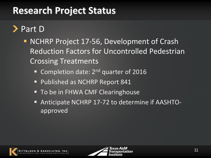#### > Part D

- **NCHRP Project 17-56, Development of Crash** Reduction Factors for Uncontrolled Pedestrian Crossing Treatments
	- Completion date:  $2^{nd}$  quarter of 2016
	- **Published as NCHRP Report 841**
	- **To be in FHWA CMF Clearinghouse**
	- Anticipate NCHRP 17-72 to determine if AASHTOapproved



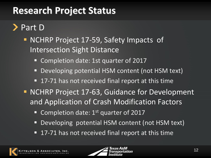#### Part D

- **NCHRP Project 17-59, Safety Impacts of** Intersection Sight Distance
	- Completion date: 1st quarter of 2017
	- Developing potential HSM content (not HSM text)
	- 17-71 has not received final report at this time
- **NCHRP Project 17-63, Guidance for Development** and Application of Crash Modification Factors
	- **Completion date: 1st quarter of 2017**
	- Developing potential HSM content (not HSM text)
	- 17-71 has not received final report at this time



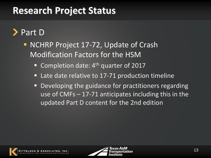#### Part D

- **NCHRP Project 17-72, Update of Crash** Modification Factors for the HSM
	- Completion date:  $4<sup>th</sup>$  quarter of 2017
	- Late date relative to 17-71 production timeline
	- **Developing the guidance for practitioners regarding** use of CMFs – 17-71 anticipates including this in the updated Part D content for the 2nd edition